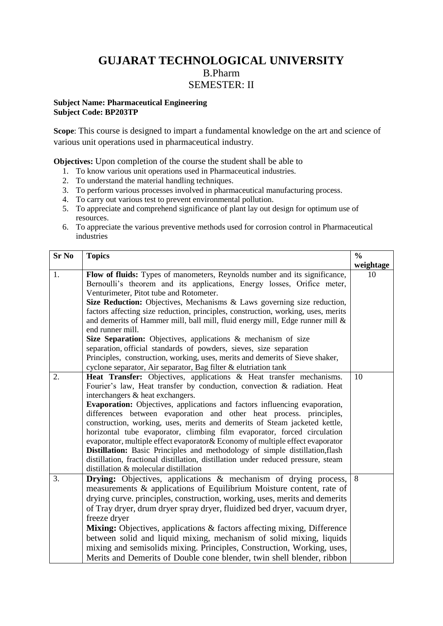## **GUJARAT TECHNOLOGICAL UNIVERSITY** B.Pharm SEMESTER: II

## **Subject Name: Pharmaceutical Engineering Subject Code: BP203TP**

**Scope**: This course is designed to impart a fundamental knowledge on the art and science of various unit operations used in pharmaceutical industry.

**Objectives:** Upon completion of the course the student shall be able to

- 1. To know various unit operations used in Pharmaceutical industries.
- 2. To understand the material handling techniques.
- 3. To perform various processes involved in pharmaceutical manufacturing process.
- 4. To carry out various test to prevent environmental pollution.
- 5. To appreciate and comprehend significance of plant lay out design for optimum use of resources.
- 6. To appreciate the various preventive methods used for corrosion control in Pharmaceutical industries

| <b>Sr No</b> | <b>Topics</b>                                                                                                  | $\frac{0}{0}$ |
|--------------|----------------------------------------------------------------------------------------------------------------|---------------|
|              |                                                                                                                | weightage     |
| 1.           | Flow of fluids: Types of manometers, Reynolds number and its significance,                                     | 10            |
|              | Bernoulli's theorem and its applications, Energy losses, Orifice meter,                                        |               |
|              | Venturimeter, Pitot tube and Rotometer.                                                                        |               |
|              | Size Reduction: Objectives, Mechanisms & Laws governing size reduction,                                        |               |
|              | factors affecting size reduction, principles, construction, working, uses, merits                              |               |
|              | and demerits of Hammer mill, ball mill, fluid energy mill, Edge runner mill &                                  |               |
|              | end runner mill.                                                                                               |               |
|              | Size Separation: Objectives, applications & mechanism of size                                                  |               |
|              | separation, official standards of powders, sieves, size separation                                             |               |
|              | Principles, construction, working, uses, merits and demerits of Sieve shaker,                                  |               |
|              | cyclone separator, Air separator, Bag filter & elutriation tank                                                |               |
| 2.           | Heat Transfer: Objectives, applications & Heat transfer mechanisms.                                            | 10            |
|              | Fourier's law, Heat transfer by conduction, convection & radiation. Heat                                       |               |
|              | interchangers & heat exchangers.<br>Evaporation: Objectives, applications and factors influencing evaporation, |               |
|              | differences between evaporation and other heat process. principles,                                            |               |
|              | construction, working, uses, merits and demerits of Steam jacketed kettle,                                     |               |
|              | horizontal tube evaporator, climbing film evaporator, forced circulation                                       |               |
|              | evaporator, multiple effect evaporator & Economy of multiple effect evaporator                                 |               |
|              | <b>Distillation:</b> Basic Principles and methodology of simple distillation, flash                            |               |
|              | distillation, fractional distillation, distillation under reduced pressure, steam                              |               |
|              | distillation & molecular distillation                                                                          |               |
| 3.           | <b>Drying:</b> Objectives, applications & mechanism of drying process,                                         | 8             |
|              | measurements & applications of Equilibrium Moisture content, rate of                                           |               |
|              | drying curve. principles, construction, working, uses, merits and demerits                                     |               |
|              | of Tray dryer, drum dryer spray dryer, fluidized bed dryer, vacuum dryer,                                      |               |
|              | freeze dryer                                                                                                   |               |
|              | Mixing: Objectives, applications & factors affecting mixing, Difference                                        |               |
|              | between solid and liquid mixing, mechanism of solid mixing, liquids                                            |               |
|              | mixing and semisolids mixing. Principles, Construction, Working, uses,                                         |               |
|              | Merits and Demerits of Double cone blender, twin shell blender, ribbon                                         |               |